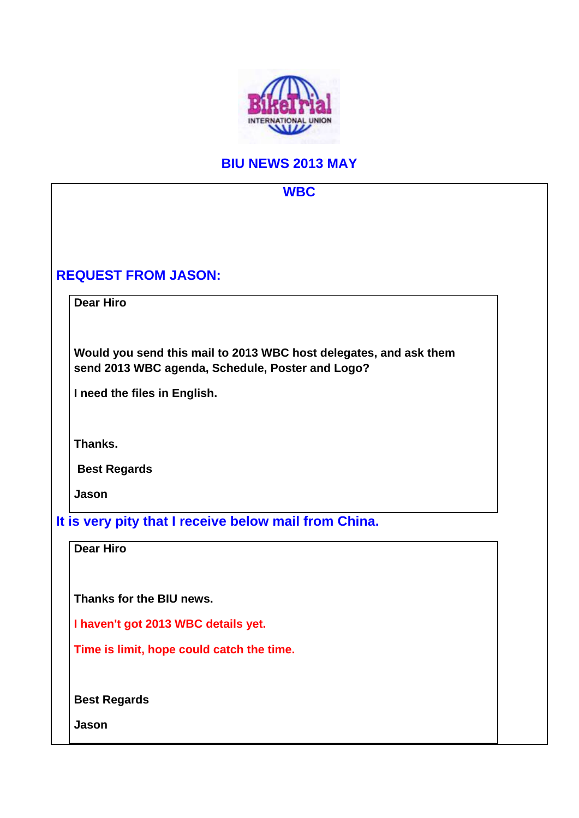

## **BIU NEWS 2013 MAY**

## **WBC REQUEST FROM JASON: Dear Hiro Would you send this mail to 2013 WBC host delegates, and ask them send 2013 WBC agenda, Schedule, Poster and Logo? I need the files in English. Thanks. Best Regards Jason It is very pity that I receive below mail from China. Dear Hiro Thanks for the BIU news. I haven't got 2013 WBC details yet. Time is limit, hope could catch the time. Best Regards Jason**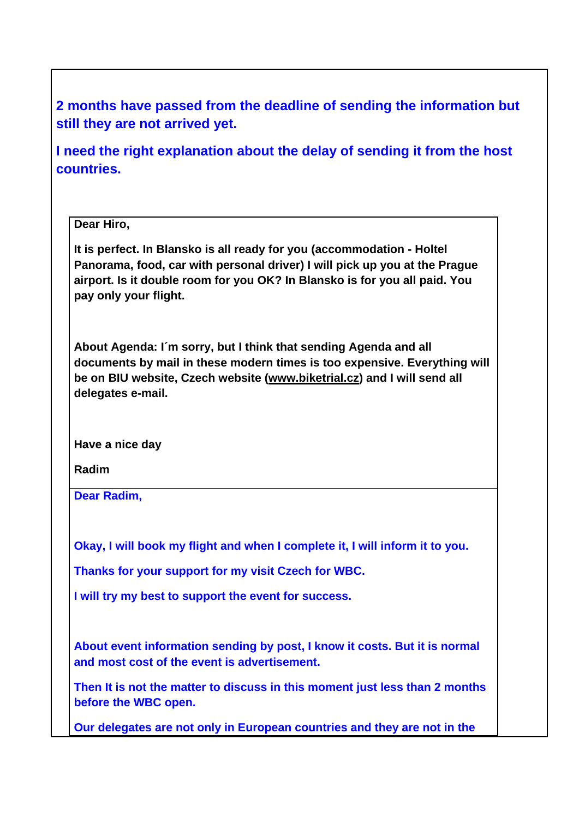**2 months have passed from the deadline of sending the information but still they are not arrived yet.** 

**I need the right explanation about the delay of sending it from the host countries.** 

## **Dear Hiro,**

**It is perfect. In Blansko is all ready for you (accommodation - Holtel Panorama, food, car with personal driver) I will pick up you at the Prague airport. Is it double room for you OK? In Blansko is for you all paid. You pay only your flight.**

**About Agenda: I´m sorry, but I think that sending Agenda and all documents by mail in these modern times is too expensive. Everything will be on BIU website, Czech website (www.biketrial.cz) and I will send all delegates e-mail.**

**Have a nice day**

**Radim** 

**Dear Radim,** 

**Okay, I will book my flight and when I complete it, I will inform it to you.** 

**Thanks for your support for my visit Czech for WBC.** 

**I will try my best to support the event for success.** 

**About event information sending by post, I know it costs. But it is normal and most cost of the event is advertisement.** 

**Then It is not the matter to discuss in this moment just less than 2 months before the WBC open.** 

**Our delegates are not only in European countries and they are not in the**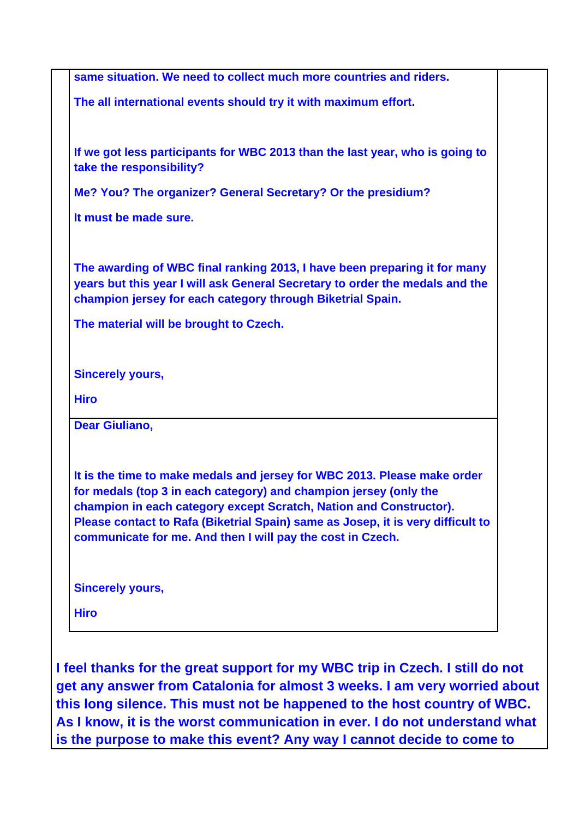|                                        | same situation. We need to collect much more countries and riders.                                                                                                                                                                                                                                                                                                   |
|----------------------------------------|----------------------------------------------------------------------------------------------------------------------------------------------------------------------------------------------------------------------------------------------------------------------------------------------------------------------------------------------------------------------|
|                                        | The all international events should try it with maximum effort.                                                                                                                                                                                                                                                                                                      |
| take the responsibility?               | If we got less participants for WBC 2013 than the last year, who is going to                                                                                                                                                                                                                                                                                         |
|                                        | Me? You? The organizer? General Secretary? Or the presidium?                                                                                                                                                                                                                                                                                                         |
| It must be made sure.                  |                                                                                                                                                                                                                                                                                                                                                                      |
|                                        | The awarding of WBC final ranking 2013, I have been preparing it for many<br>years but this year I will ask General Secretary to order the medals and the<br>champion jersey for each category through Biketrial Spain.                                                                                                                                              |
| The material will be brought to Czech. |                                                                                                                                                                                                                                                                                                                                                                      |
| <b>Sincerely yours,</b>                |                                                                                                                                                                                                                                                                                                                                                                      |
| <b>Hiro</b>                            |                                                                                                                                                                                                                                                                                                                                                                      |
| <b>Dear Giuliano,</b>                  |                                                                                                                                                                                                                                                                                                                                                                      |
|                                        | It is the time to make medals and jersey for WBC 2013. Please make order<br>for medals (top 3 in each category) and champion jersey (only the<br>champion in each category except Scratch, Nation and Constructor).<br>Please contact to Rafa (Biketrial Spain) same as Josep, it is very difficult to<br>communicate for me. And then I will pay the cost in Czech. |
| <b>Sincerely yours,</b>                |                                                                                                                                                                                                                                                                                                                                                                      |
|                                        |                                                                                                                                                                                                                                                                                                                                                                      |

**I feel thanks for the great support for my WBC trip in Czech. I still do not get any answer from Catalonia for almost 3 weeks. I am very worried about this long silence. This must not be happened to the host country of WBC. As I know, it is the worst communication in ever. I do not understand what is the purpose to make this event? Any way I cannot decide to come to**